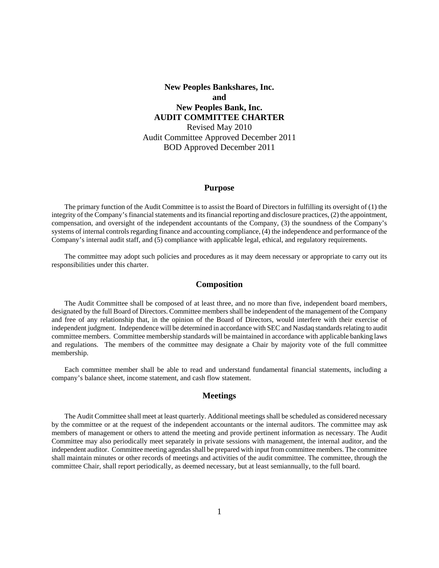# **New Peoples Bankshares, Inc. and New Peoples Bank, Inc. AUDIT COMMITTEE CHARTER** Revised May 2010 Audit Committee Approved December 2011 BOD Approved December 2011

#### **Purpose**

The primary function of the Audit Committee is to assist the Board of Directors in fulfilling its oversight of (1) the integrity of the Company's financial statements and its financial reporting and disclosure practices, (2) the appointment, compensation, and oversight of the independent accountants of the Company, (3) the soundness of the Company's systems of internal controls regarding finance and accounting compliance, (4) the independence and performance of the Company's internal audit staff, and (5) compliance with applicable legal, ethical, and regulatory requirements.

The committee may adopt such policies and procedures as it may deem necessary or appropriate to carry out its responsibilities under this charter.

## **Composition**

The Audit Committee shall be composed of at least three, and no more than five, independent board members, designated by the full Board of Directors. Committee members shall be independent of the management of the Company and free of any relationship that, in the opinion of the Board of Directors, would interfere with their exercise of independent judgment. Independence will be determined in accordance with SEC and Nasdaq standards relating to audit committee members. Committee membership standards will be maintained in accordance with applicable banking laws and regulations. The members of the committee may designate a Chair by majority vote of the full committee membership.

Each committee member shall be able to read and understand fundamental financial statements, including a company's balance sheet, income statement, and cash flow statement.

### **Meetings**

The Audit Committee shall meet at least quarterly. Additional meetings shall be scheduled as considered necessary by the committee or at the request of the independent accountants or the internal auditors. The committee may ask members of management or others to attend the meeting and provide pertinent information as necessary. The Audit Committee may also periodically meet separately in private sessions with management, the internal auditor, and the independent auditor. Committee meeting agendas shall be prepared with input from committee members. The committee shall maintain minutes or other records of meetings and activities of the audit committee. The committee, through the committee Chair, shall report periodically, as deemed necessary, but at least semiannually, to the full board.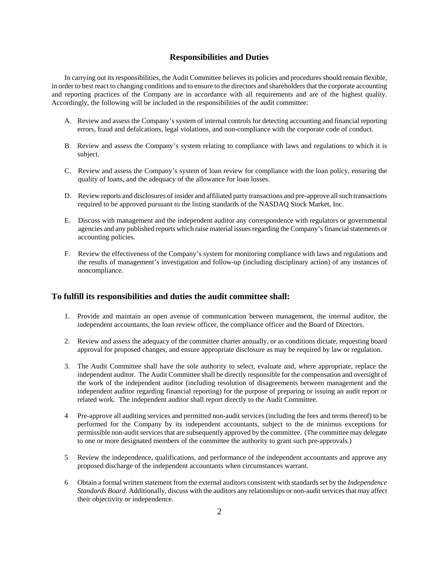## **Responsibilities and Duties**

In carrying out its responsibilities, the Audit Committee believes its policies and procedures should remain flexible, in order to best react to changing conditions and to ensure to the directors and shareholders that the corporate accounting and reporting practices of the Company are in accordance with all requirements and are of the highest quality. Accordingly, the following will be included in the responsibilities of the audit committee:

- A. Review and assess the Company's system of internal controls for detecting accounting and financial reporting errors, fraud and defalcations, legal violations, and non-compliance with the corporate code of conduct.
- B. Review and assess the Company's system relating to compliance with laws and regulations to which it is subject.
- C. Review and assess the Company's system of loan review for compliance with the loan policy, ensuring the quality of loans, and the adequacy of the allowance for loan losses.
- D. Review reports and disclosures of insider and affiliated party transactions and pre-approve all such transactions required to be approved pursuant to the listing standards of the NASDAQ Stock Market, Inc.
- E. Discuss with management and the independent auditor any correspondence with regulators or governmental agencies and any published reports which raise material issues regarding the Company's financial statements or accounting policies.
- F. Review the effectiveness of the Company's system for monitoring compliance with laws and regulations and the results of management's investigation and follow-up (including disciplinary action) of any instances of noncompliance.

## **To fulfill its responsibilities and duties the audit committee shall:**

- 1. Provide and maintain an open avenue of communication between management, the internal auditor, the independent accountants, the loan review officer, the compliance officer and the Board of Directors.
- 2. Review and assess the adequacy of the committee charter annually, or as conditions dictate, requesting board approval for proposed changes, and ensure appropriate disclosure as may be required by law or regulation.
- 3. The Audit Committee shall have the sole authority to select, evaluate and, where appropriate, replace the independent auditor. The Audit Committee shall be directly responsible for the compensation and oversight of the work of the independent auditor (including resolution of disagreements between management and the independent auditor regarding financial reporting) for the purpose of preparing or issuing an audit report or related work. The independent auditor shall report directly to the Audit Committee.
- 4 Pre-approve all auditing services and permitted non-audit services (including the fees and terms thereof) to be performed for the Company by its independent accountants, subject to the de minimus exceptions for permissible non-audit services that are subsequently approved by the committee. (The committee may delegate to one or more designated members of the committee the authority to grant such pre-approvals.)
- 5 Review the independence, qualifications, and performance of the independent accountants and approve any proposed discharge of the independent accountants when circumstances warrant.
- 6 Obtain a formal written statement from the external auditors consistent with standards set by the *Independence Standards Board*. Additionally, discuss with the auditors any relationships or non-audit services that may affect their objectivity or independence.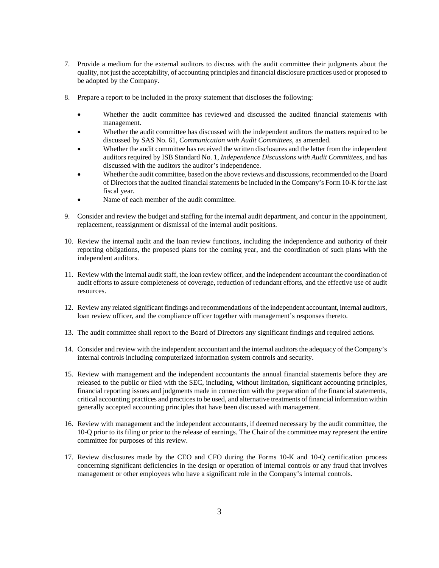- 7. Provide a medium for the external auditors to discuss with the audit committee their judgments about the quality, not just the acceptability, of accounting principles and financial disclosure practices used or proposed to be adopted by the Company.
- 8. Prepare a report to be included in the proxy statement that discloses the following:
	- Whether the audit committee has reviewed and discussed the audited financial statements with management.
	- Whether the audit committee has discussed with the independent auditors the matters required to be discussed by SAS No. 61, *Communication with Audit Committees*, as amended.
	- Whether the audit committee has received the written disclosures and the letter from the independent auditors required by ISB Standard No. 1, *Independence Discussions with Audit Committees*, and has discussed with the auditors the auditor's independence.
	- Whether the audit committee, based on the above reviews and discussions, recommended to the Board of Directors that the audited financial statements be included in the Company's Form 10-K for the last fiscal year.
	- Name of each member of the audit committee.
- 9. Consider and review the budget and staffing for the internal audit department, and concur in the appointment, replacement, reassignment or dismissal of the internal audit positions.
- 10. Review the internal audit and the loan review functions, including the independence and authority of their reporting obligations, the proposed plans for the coming year, and the coordination of such plans with the independent auditors.
- 11. Review with the internal audit staff, the loan review officer, and the independent accountant the coordination of audit efforts to assure completeness of coverage, reduction of redundant efforts, and the effective use of audit resources.
- 12. Review any related significant findings and recommendations of the independent accountant, internal auditors, loan review officer, and the compliance officer together with management's responses thereto.
- 13. The audit committee shall report to the Board of Directors any significant findings and required actions.
- 14. Consider and review with the independent accountant and the internal auditors the adequacy of the Company's internal controls including computerized information system controls and security.
- 15. Review with management and the independent accountants the annual financial statements before they are released to the public or filed with the SEC, including, without limitation, significant accounting principles, financial reporting issues and judgments made in connection with the preparation of the financial statements, critical accounting practices and practices to be used, and alternative treatments of financial information within generally accepted accounting principles that have been discussed with management.
- 16. Review with management and the independent accountants, if deemed necessary by the audit committee, the 10-Q prior to its filing or prior to the release of earnings. The Chair of the committee may represent the entire committee for purposes of this review.
- 17. Review disclosures made by the CEO and CFO during the Forms 10-K and 10-Q certification process concerning significant deficiencies in the design or operation of internal controls or any fraud that involves management or other employees who have a significant role in the Company's internal controls.